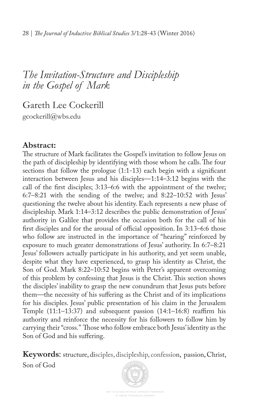Gareth Lee Cockerill gcockerill@wbs.edu

### **Abstract:**

The structure of Mark facilitates the Gospel's invitation to follow Jesus on the path of discipleship by identifying with those whom he calls. The four sections that follow the prologue (1:1-13) each begin with a signifcant interaction between Jesus and his disciples—1:14–3:12 begins with the call of the frst disciples; 3:13–6:6 with the appointment of the twelve; 6:7–8:21 with the sending of the twelve; and 8:22–10:52 with Jesus' questioning the twelve about his identity. Each represents a new phase of discipleship. Mark 1:14–3:12 describes the public demonstration of Jesus' authority in Galilee that provides the occasion both for the call of his first disciples and for the arousal of official opposition. In  $3:13-6:6$  those who follow are instructed in the importance of "hearing" reinforced by exposure to much greater demonstrations of Jesus' authority. In 6:7–8:21 Jesus' followers actually participate in his authority, and yet seem unable, despite what they have experienced, to grasp his identity as Christ, the Son of God. Mark 8:22–10:52 begins with Peter's apparent overcoming of this problem by confessing that Jesus is the Christ. This section shows the disciples' inability to grasp the new conundrum that Jesus puts before them—the necessity of his sufering as the Christ and of its implications for his disciples. Jesus' public presentation of his claim in the Jerusalem Temple (11:1–13:37) and subsequent passion (14:1–16:8) reafrm his authority and reinforce the necessity for his followers to follow him by carrying their "cross." Those who follow embrace both Jesus' identity as the Son of God and his sufering.

**Keywords**: structure, disciples, discipleship, confession, passion, Christ, Son of God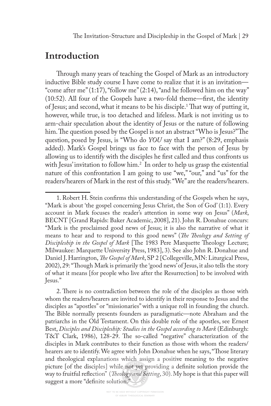# **Introduction**

Through many years of teaching the Gospel of Mark as an introductory inductive Bible study course I have come to realize that it is an invitation— "come after me" (1:17), "follow me" (2:14), "and he followed him on the way" (10:52). All four of the Gospels have a two-fold theme—frst, the identity of Jesus; and second, what it means to be his disciple.<sup>1</sup> That way of putting it, however, while true, is too detached and lifeless. Mark is not inviting us to arm-chair speculation about the identity of Jesus or the nature of following him. The question posed by the Gospel is not an abstract "Who is Jesus?" The question, posed by Jesus, is "Who do *YOU* say that I am?" (8:29, emphasis added). Mark's Gospel brings us face to face with the person of Jesus by allowing us to identify with the disciples he frst called and thus confronts us with Jesus' invitation to follow him.2 In order to help us grasp the existential nature of this confrontation I am going to use "we," "our," and "us" for the readers/hearers of Mark in the rest of this study. "We" are the readers/hearers.

<sup>1.</sup> Robert H. Stein confrms this understanding of the Gospels when he says, "Mark is about 'the gospel concerning Jesus Christ, the Son of God' (1:1). Every account in Mark focuses the reader's attention in some way on Jesus" (*Mark*, BECNT [Grand Rapids: Baker Academic, 2008], 21). John R. Donahue concurs: "Mark is the proclaimed good news of Jesus; it is also the narrative of what it means to hear and to respond to this good news" (*Te Teology and Setting of Discipleship in the Gospel of Mark* [The 1983 Pere Marquette Theology Lecture; Milwaukee: Marquette University Press, 1983], 3). See also John R. Donahue and Daniel J. Harrington, *Te Gospel of Mark*, SP 2 [Collegeville, MN: Liturgical Press, 2002), 29: "Tough Mark is primarily the 'good news' of Jesus, it also tells the story of what it means [for people who live after the Resurrection] to be involved with Jesus."

<sup>2.</sup> There is no contradiction between the role of the disciples as those with whom the readers/hearers are invited to identify in their response to Jesus and the disciples as "apostles" or "missionaries" with a unique roll in founding the church. The Bible normally presents founders as paradigmatic—note Abraham and the patriarchs in the Old Testament. On this double role of the apostles, see Ernest Best, *Disciples and Discipleship: Studies in the Gospel according to Mark* (Edinburgh: T&T Clark, 1986), 128-29. The so-called "negative" characterization of the disciples in Mark contributes to their function as those with whom the readers/ hearers are to identify. We agree with John Donahue when he says, "Those literary and theological explanations which assign a positive meaning to the negative picture [of the disciples] while not yet providing a defnite solution provide the way to fruitful refection" (*Teology and Setting*, 30). My hope is that this paper will suggest a more "defnite solution."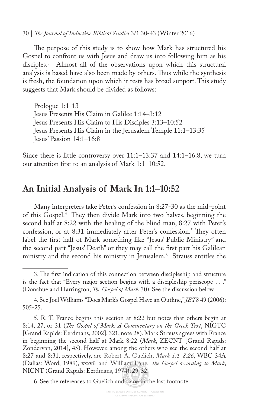30 | *Te Journal of Inductive Biblical Studies* 3/1:30-43 (Winter 2016)

The purpose of this study is to show how Mark has structured his Gospel to confront us with Jesus and draw us into following him as his disciples.3 Almost all of the observations upon which this structural analysis is based have also been made by others. Thus while the synthesis is fresh, the foundation upon which it rests has broad support. This study suggests that Mark should be divided as follows:

Prologue 1:1-13 Jesus Presents His Claim in Galilee 1:14–3:12 Jesus Presents His Claim to His Disciples 3:13–10:52 Jesus Presents His Claim in the Jerusalem Temple 11:1–13:35 Jesus' Passion 14:1–16:8

Since there is little controversy over 11:1–13:37 and 14:1–16:8, we turn our attention frst to an analysis of Mark 1:1–10:52.

### **An Initial Analysis of Mark In 1:1–10:52**

Many interpreters take Peter's confession in 8:27-30 as the mid-point of this Gospel.<sup>4</sup> They then divide Mark into two halves, beginning the second half at 8:22 with the healing of the blind man, 8:27 with Peter's confession, or at 8:31 immediately after Peter's confession.<sup>5</sup> They often label the frst half of Mark something like "Jesus' Public Ministry" and the second part "Jesus' Death" or they may call the frst part his Galilean ministry and the second his ministry in Jerusalem.6 Strauss entitles the

6. See the references to Guelich and Lane in the last footnote.

<sup>3.</sup> The first indication of this connection between discipleship and structure is the fact that "Every major section begins with a discipleship periscope . . ." (Donahue and Harrington, *Te Gospel of Mark*, 30). See the discussion below.

<sup>4.</sup> See Joel Williams "Does Mark's Gospel Have an Outline," *JETS* 49 (2006): 505-25.

<sup>5.</sup> R. T. France begins this section at 8:22 but notes that others begin at 8:14, 27, or 31 (*Te Gospel of Mark: A Commentary on the Greek Text*, NIGTC [Grand Rapids: Eerdmans, 2002], 321, note 28). Mark Strauss agrees with France in beginning the second half at Mark 8:22 (*Mark*, ZECNT [Grand Rapids: Zondervan, 2014], 45). However, among the others who see the second half at 8:27 and 8:31, respectively, are Robert A. Guelich, *Mark 1:1–8:26*, WBC 34A (Dallas: Word, 1989), xxxvii and William Lane, *Te Gospel according to Mark*, NICNT (Grand Rapids: Eerdmans, 1974), 29-32.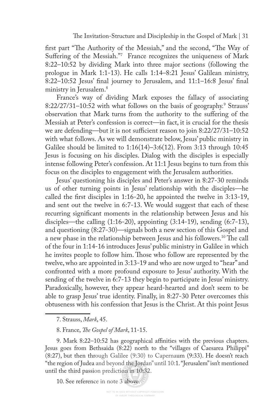first part "The Authority of the Messiah," and the second, "The Way of Sufering of the Messiah."7 France recognizes the uniqueness of Mark 8:22–10:52 by dividing Mark into three major sections (following the prologue in Mark 1:1-13). He calls 1:14–8:21 Jesus' Galilean ministry, 8:22–10:52 Jesus' fnal journey to Jerusalem, and 11:1–16:8 Jesus' fnal ministry in Jerusalem.<sup>8</sup>

France's way of dividing Mark exposes the fallacy of associating 8:22/27/31–10:52 with what follows on the basis of geography.<sup>9</sup> Strauss' observation that Mark turns from the authority to the sufering of the Messiah at Peter's confession is correct—in fact, it is crucial for the thesis we are defending—but it is not sufficient reason to join 8:22/27/31-10:52 with what follows. As we will demonstrate below, Jesus' public ministry in Galilee should be limited to 1:16(14)–3:6(12). From 3:13 through 10:45 Jesus is focusing on his disciples. Dialog with the disciples is especially intense following Peter's confession. At 11:1 Jesus begins to turn from this focus on the disciples to engagement with the Jerusalem authorities.

Jesus' questioning his disciples and Peter's answer in 8:27-30 reminds us of other turning points in Jesus' relationship with the disciples—he called the frst disciples in 1:16-20, he appointed the twelve in 3:13-19, and sent out the twelve in 6:7-13. We would suggest that each of these recurring signifcant moments in the relationship between Jesus and his disciples—the calling  $(1:16-20)$ , appointing  $(3:14-19)$ , sending  $(6:7-13)$ , and questioning (8:27-30)—signals both a new section of this Gospel and a new phase in the relationship between Jesus and his followers.<sup>10</sup> The call of the four in 1:14-16 introduces Jesus' public ministry in Galilee in which he invites people to follow him. Those who follow are represented by the twelve, who are appointed in 3:13-19 and who are now urged to "hear" and confronted with a more profound exposure to Jesus' authority. With the sending of the twelve in 6:7-13 they begin to participate in Jesus' ministry. Paradoxically, however, they appear heard-hearted and don't seem to be able to grasp Jesus' true identity. Finally, in 8:27-30 Peter overcomes this obtuseness with his confession that Jesus is the Christ. At this point Jesus

9. Mark 8:22–10:52 has geographical afnities with the previous chapters. Jesus goes from Bethsaida (8:22) north to the "villages of Caesarea Philippi" (8:27), but then through Galilee (9:30) to Capernaum (9:33). He doesn't reach "the region of Judea and beyond the Jordan" until 10:1. "Jerusalem" isn't mentioned until the third passion prediction in 10:32.

10. See reference in note 3 above.

<sup>7.</sup> Strauss, *Mark*, 45.

<sup>8.</sup> France, *Te Gospel of Mark*, 11-15.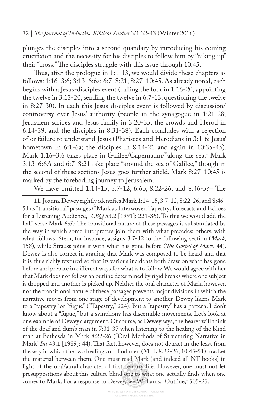plunges the disciples into a second quandary by introducing his coming crucifxion and the necessity for his disciples to follow him by "taking up" their "cross." The disciples struggle with this issue through 10:45.

Thus, after the prologue in 1:1-13, we would divide these chapters as follows: 1:16–3:6; 3:13–6:6a; 6:7–8:21; 8:27–10:45. As already noted, each begins with a Jesus-disciples event (calling the four in 1:16-20; appointing the twelve in 3:13-20; sending the twelve in 6:7-13; questioning the twelve in 8:27-30). In each this Jesus-disciples event is followed by discussion/ controversy over Jesus' authority (people in the synagogue in 1:21-28; Jerusalem scribes and Jesus family in 3:20-35; the crowds and Herod in 6:14-39; and the disciples in 8:31-38). Each concludes with a rejection of or failure to understand Jesus (Pharisees and Herodians in 3:1-6; Jesus' hometown in 6:1-6a; the disciples in 8:14-21 and again in 10:35-45). Mark 1:16–3:6 takes place in Galilee/Capernaum/"along the sea." Mark 3:13–6:6A and 6:7–8:21 take place "around the sea of Galilee," though in the second of these sections Jesus goes further afeld. Mark 8:27–10:45 is marked by the foreboding journey to Jerusalem.

We have omitted 1:14-15, 3:7-12, 6:6b, 8:22-26, and 8:46-5?<sup>11</sup> The

11. Joanna Dewey rightly identifes Mark 1:14-15, 3:7-12, 8:22-26, and 8:46- 51 as "transitional" passages ("Mark as Interwoven Tapestry: Forecasts and Echoes for a Listening Audience," *CBQ* 53.2 [1991]: 221-36). To this we would add the half-verse Mark 6:6b. The transitional nature of these passages is substantiated by the way in which some interpreters join them with what precedes; others, with what follows. Stein, for instance, assigns 3:7-12 to the following section (*Mark*, 158), while Strauss joins it with what has gone before (*Te Gospel of Mark*, 44). Dewey is also correct in arguing that Mark was composed to be heard and that it is thus richly textured so that its various incidents both draw on what has gone before and prepare in diferent ways for what is to follow. We would agree with her that Mark does not follow an outline determined by rigid breaks where one subject is dropped and another is picked up. Neither the oral character of Mark, however, nor the transitional nature of these passages prevents major divisions in which the narrative moves from one stage of development to another. Dewey likens Mark to a "tapestry" or "fugue" ("Tapestry," 224). But a "tapestry" has a pattern. I don't know about a "fugue," but a symphony has discernible movements. Let's look at one example of Dewey's argument. Of course, as Dewey says, the hearer will think of the deaf and dumb man in 7:31-37 when listening to the healing of the blind man at Bethesda in Mark 8:22-26 ("Oral Methods of Structuring Narrative in Mark" *Int* 43.1 [1989]: 44). That fact, however, does not detract in the least from the way in which the two healings of blind men (Mark 8:22-26; 10:45-51) bracket the material between them. One must read Mark (and indeed all NT books) in light of the oral/aural character of frst century life. However, one must not let presuppositions about this culture blind one to what one actually fnds when one comes to Mark. For a response to Dewey, see Williams, "Outline," 505-25.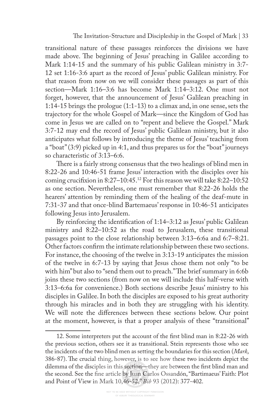transitional nature of these passages reinforces the divisions we have made above. The beginning of Jesus' preaching in Galilee according to Mark 1:14-15 and the summary of his public Galilean ministry in 3:7- 12 set 1:16-3:6 apart as the record of Jesus' public Galilean ministry. For that reason from now on we will consider these passages as part of this section—Mark 1:16–3:6 has become Mark 1:14–3:12. One must not forget, however, that the announcement of Jesus' Galilean preaching in 1:14-15 brings the prologue (1:1-13) to a climax and, in one sense, sets the trajectory for the whole Gospel of Mark—since the Kingdom of God has come in Jesus we are called on to "repent and believe the Gospel." Mark 3:7-12 may end the record of Jesus' public Galilean ministry, but it also anticipates what follows by introducing the theme of Jesus' teaching from a "boat" (3:9) picked up in 4:1, and thus prepares us for the "boat" journeys so characteristic of 3:13–6:6.

There is a fairly strong consensus that the two healings of blind men in 8:22-26 and 10:46-51 frame Jesus' interaction with the disciples over his coming crucifxion in 8:27–10:45.12 For this reason we will take 8:22–10:52 as one section. Nevertheless, one must remember that 8:22-26 holds the hearers' attention by reminding them of the healing of the deaf-mute in 7:31-37 and that once-blind Bartemaeus' response in 10:46-51 anticipates following Jesus into Jerusalem.

By reinforcing the identifcation of 1:14–3:12 as Jesus' public Galilean ministry and 8:22–10:52 as the road to Jerusalem, these transitional passages point to the close relationship between 3:13–6:6a and 6:7–8:21. Other factors confrm the intimate relationship between these two sections. For instance, the choosing of the twelve in 3:13-19 anticipates the mission of the twelve in 6:7-13 by saying that Jesus chose them not only "to be with him" but also to "send them out to preach." The brief summary in 6:6b joins these two sections (from now on we will include this half-verse with 3:13–6:6a for convenience.) Both sections describe Jesus' ministry to his disciples in Galilee. In both the disciples are exposed to his great authority through his miracles and in both they are struggling with his identity. We will note the diferences between these sections below. Our point at the moment, however, is that a proper analysis of these "transitional"

<sup>12.</sup> Some interpreters put the account of the frst blind man in 8:22-26 with the previous section, others see it as transitional. Stein represents those who see the incidents of the two blind men as setting the boundaries for this section (*Mark*, 386-87). The crucial thing, however, is to see how these two incidents depict the dilemma of the disciples in this section—they are between the frst blind man and the second. See the fne article by Juan Carlos Ossandón, "Bartimaeus' Faith: Plot and Point of View in Mark 10,46-52," *Bib* 93 (2012): 377-402.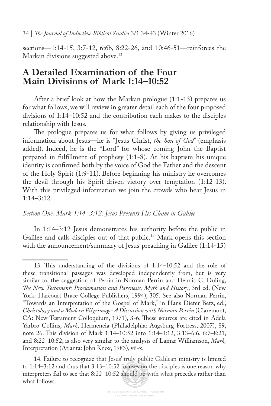sections—1:14-15, 3:7-12, 6:6b, 8:22-26, and 10:46-51—reinforces the Markan divisions suggested above.<sup>13</sup>

### **A Detailed Examination of the Four Main Divisions of Mark 1:14–10:52**

After a brief look at how the Markan prologue (1:1-13) prepares us for what follows, we will review in greater detail each of the four proposed divisions of 1:14–10:52 and the contribution each makes to the disciples relationship with Jesus.

The prologue prepares us for what follows by giving us privileged information about Jesus—he is "Jesus Christ, *the Son of God*" (emphasis added). Indeed, he is the "Lord" for whose coming John the Baptist prepared in fulfllment of prophesy (1:1-8). At his baptism his unique identity is confrmed both by the voice of God the Father and the descent of the Holy Spirit (1:9-11). Before beginning his ministry he overcomes the devil through his Spirit-driven victory over temptation (1:12-13). With this privileged information we join the crowds who hear Jesus in 1:14–3:12.

#### *Section One. Mark 1:14–3:12: Jesus Presents His Claim in Galilee*

In 1:14–3:12 Jesus demonstrates his authority before the public in Galilee and calls disciples out of that public.<sup>14</sup> Mark opens this section with the announcement/summary of Jesus' preaching in Galilee (1:14-15)

<sup>13.</sup> Tis understanding of the divisions of 1:14–10:52 and the role of these transitional passages was developed independently from, but is very similar to, the suggestion of Perrin in Norman Perrin and Dennis C. Duling, *Te New Testament: Proclamation and Parenesis, Myth and History*, 3rd ed. (New York: Harcourt Brace College Publishers, 1994), 305. See also Norman Perrin, "Towards an Interpretation of the Gospel of Mark," in Hans Dieter Betz, ed., *Christology and a Modern Pilgrimage: A Discussion with Norman Perrin* (Claremont, CA: New Testament Colloquium, 1971), 3-6. These sources are cited in Adela Yarbro Collins, *Mark*, Hermeneia (Philadelphia: Augsburg Fortress, 2007), 89, note 26. Tis division of Mark 1:14–10:52 into 1:14–3:12, 3:13–6:6, 6:7–8:21, and 8:22–10:52, is also very similar to the analysis of Lamar Williamson, *Mark,*  Interpretation (Atlanta: John Knox, 1983), vii-x.

<sup>14.</sup> Failure to recognize that Jesus' truly public Galilean ministry is limited to 1:14–3:12 and thus that 3:13–10:52 focuses on the disciples is one reason why interpreters fail to see that 8:22–10:52 should go with what precedes rather than what follows.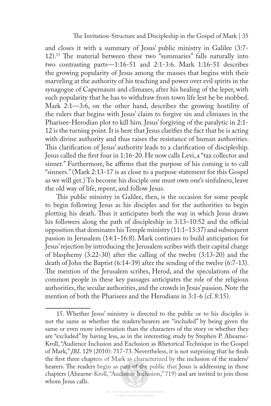and closes it with a summary of Jesus' public ministry in Galilee (3:7- 12).<sup>15</sup> The material between these two "summaries" falls naturally into two contrasting parts—1:16-51 and 2:1-3:6. Mark 1:16-51 describes the growing popularity of Jesus among the masses that begins with their marveling at the authority of his teaching and power over evil spirits in the synagogue of Capernaum and climaxes, after his healing of the leper, with such popularity that he has to withdraw from town life lest he be mobbed. Mark 2:1—3:6, on the other hand, describes the growing hostility of the rulers that begins with Jesus' claim to forgive sin and climaxes in the Pharisee-Herodian plot to kill him. Jesus' forgiving of the paralytic in 2:1- 12 is the turning point. It is here that Jesus clarifes the fact that he is acting with divine authority and thus raises the resistance of human authorities. This clarification of Jesus' authority leads to a clarification of discipleship. Jesus called the frst four in 1:16-20. He now calls Levi, a "tax collector and sinner." Furthermore, he affirms that the purpose of his coming is to call "sinners." (Mark 2:13-17 is as close to a purpose statement for this Gospel as we will get.) To become his disciple one must own one's sinfulness, leave the old way of life, repent, and follow Jesus.

This public ministry in Galilee, then, is the occasion for some people to begin following Jesus as his disciples and for the authorities to begin plotting his death. Tus it anticipates both the way in which Jesus draws his followers along the path of discipleship in  $3:13-10:52$  and the official opposition that dominates his Temple ministry (11:1–13:37) and subsequent passion in Jerusalem (14:1–16:8). Mark continues to build anticipation for Jesus' rejection by introducing the Jerusalem scribes with their capital charge of blasphemy (3:22-30) after the calling of the twelve (3:13-20) and the death of John the Baptist (6:14-39) after the sending of the twelve (6:7-13). The mention of the Jerusalem scribes, Herod, and the speculations of the common people in these key passages anticipates the role of the religious authorities, the secular authorities, and the crowds in Jesus' passion. Note the mention of both the Pharisees and the Herodians in 3:1-6 (cf. 8:15).

<sup>15.</sup> Whether Jesus' ministry is directed to the public or to his disciples is not the same as whether the readers/hearers are "included" by being given the same or even more information than the characters of the story or whether they are "excluded" by having less, as in the interesting study by Stephen P. Ahearne-Kroll, "Audience Inclusion and Exclusion as Rhetorical Technique in the Gospel of Mark," *JBL* 129 (2010): 717-73. Nevertheless, it is not surprising that he fnds the frst three chapters of Mark as characterized by the inclusion of the readers/ hearers. The readers begin as part of the public that Jesus is addressing in those chapters (Ahearne-Kroll, "Audience Inclusion," 719) and are invited to join those whom Jesus calls.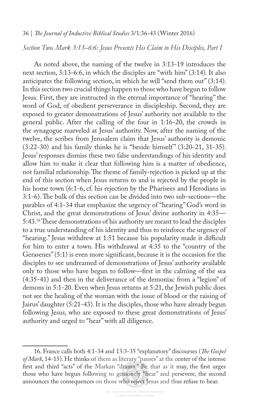#### 36 | *Te Journal of Inductive Biblical Studies* 3/1:36-43 (Winter 2016)

*Section Two. Mark 3:13–6:6: Jesus Presents His Claim to His Disciples, Part I*

As noted above, the naming of the twelve in 3:13-19 introduces the next section, 3:13-6:6, in which the disciples are "with him" (3:14). It also anticipates the following section, in which he will "send them out" (3:14). In this section two crucial things happen to those who have begun to follow Jesus. First, they are instructed in the eternal importance of "hearing" the word of God, of obedient perseverance in discipleship. Second, they are exposed to greater demonstrations of Jesus' authority not available to the general public. After the calling of the four in 1:16-20, the crowds in the synagogue marveled at Jesus' authority. Now, after the naming of the twelve, the scribes from Jerusalem claim that Jesus' authority is demonic  $(3:22-30)$  and his family thinks he is "beside himself"  $(3:20-21, 31-35)$ . Jesus' responses dismiss these two false understandings of his identity and allow him to make it clear that following him is a matter of obedience, not familial relationship. The theme of family-rejection is picked up at the end of this section when Jesus returns to and is rejected by the people in his home town (6:1-6, cf. his rejection by the Pharisees and Herodians in 3:1-6). The bulk of this section can be divided into two sub-sections—the parables of 4:1-34 that emphasize the urgency of "hearing" God's word in Christ, and the great demonstrations of Jesus' divine authority in 4:35— 5:43.<sup>16</sup>These demonstrations of his authority are meant to lead the disciples to a true understanding of his identity and thus to reinforce the urgency of "hearing." Jesus withdrew at 1:51 because his popularity made it difficult for him to enter a town. His withdrawal at 4:35 to the "country of the Gerasenes" (5:1) is even more signifcant, because it is the occasion for the disciples to see undreamed of demonstrations of Jesus' authority available only to those who have begun to follow—frst in the calming of the sea (4:35-41) and then in the deliverance of the demoniac from a "legion" of demons in 5:1-20. Even when Jesus returns at 5:21, the Jewish public does not see the healing of the woman with the issue of blood or the raising of Jairus' daughter (5:21-43). It is the disciples, those who have already begun following Jesus, who are exposed to these great demonstrations of Jesus' authority and urged to "hear" with all diligence.

<sup>16.</sup> France calls both 4:1-34 and 13:3-35 "explanatory" discourses (*Te Gospel of Mark*, 14-15). He thinks of them as literary "pauses" at the center of the intense frst and third "acts" of the Markan "drama." Be that as it may, the frst urges those who have begun following to genuinely "hear" and persevere, the second announces the consequences on those who reject Jesus and thus refuse to hear.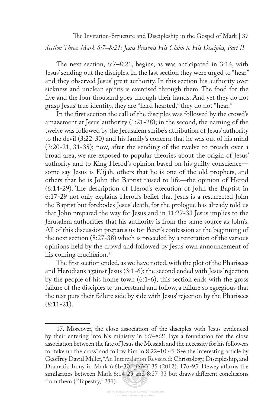*Section Three. Mark 6:7–8:21: Jesus Presents His Claim to His Disciples, Part II*

The next section,  $6:7-8:21$ , begins, as was anticipated in 3:14, with Jesus' sending out the disciples. In the last section they were urged to "hear" and they observed Jesus' great authority. In this section his authority over sickness and unclean spirits is exercised through them. The food for the fve and the four thousand goes through their hands. And yet they do not grasp Jesus' true identity, they are "hard hearted," they do not "hear."

In the frst section the call of the disciples was followed by the crowd's amazement at Jesus' authority (1:21-28); in the second, the naming of the twelve was followed by the Jerusalem scribe's attribution of Jesus' authority to the devil (3:22-30) and his family's concern that he was out of his mind (3:20-21, 31-35); now, after the sending of the twelve to preach over a broad area, we are exposed to popular theories about the origin of Jesus' authority and to King Herod's opinion based on his guilty conscience some say Jesus is Elijah, others that he is one of the old prophets, and others that he is John the Baptist raised to life—the opinion of Herod  $(6:14-29)$ . The description of Herod's execution of John the Baptist in 6:17-29 not only explains Herod's belief that Jesus is a resurrected John the Baptist but forebodes Jesus' death, for the prologue has already told us that John prepared the way for Jesus and in 11:27-33 Jesus implies to the Jerusalem authorities that his authority is from the same source as John's. All of this discussion prepares us for Peter's confession at the beginning of the next section (8:27-38) which is preceded by a reiteration of the various opinions held by the crowd and followed by Jesus' own announcement of his coming crucifixion.<sup>17</sup>

The first section ended, as we have noted, with the plot of the Pharisees and Herodians against Jesus (3:1-6); the second ended with Jesus' rejection by the people of his home town (6:1-6); this section ends with the gross failure of the disciples to understand and follow, a failure so egregious that the text puts their failure side by side with Jesus' rejection by the Pharisees  $(8:11-21)$ .

<sup>17.</sup> Moreover, the close association of the disciples with Jesus evidenced by their entering into his ministry in 6:7–8:21 lays a foundation for the close association between the fate of Jesus the Messiah and the necessity for his followers to "take up the cross" and follow him in 8:22–10:45. See the interesting article by Geofrey David Miller, "An Intercalation Revisited: Christology, Discipleship, and Dramatic Irony in Mark 6:6b-30," *JSNT* 35 (2012): 176-95. Dewey afrms the similarities between Mark 6:14-29 and 8:27-33 but draws diferent conclusions from them ("Tapestry," 231).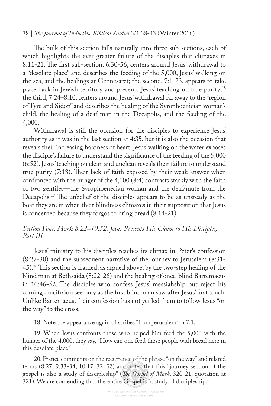#### 38 | *Te Journal of Inductive Biblical Studies* 3/1:38-43 (Winter 2016)

The bulk of this section falls naturally into three sub-sections, each of which highlights the ever greater failure of the disciples that climaxes in 8:11-21. The first sub-section, 6:30-56, centers around Jesus' withdrawal to a "desolate place" and describes the feeding of the 5,000, Jesus' walking on the sea, and the healings at Gennesaret; the second, 7:1-23, appears to take place back in Jewish territory and presents Jesus' teaching on true purity;<sup>18</sup> the third, 7:24–8:10, centers around Jesus' withdrawal far away to the "region of Tyre and Sidon" and describes the healing of the Syrophoenician woman's child, the healing of a deaf man in the Decapolis, and the feeding of the 4,000.

Withdrawal is still the occasion for the disciples to experience Jesus' authority as it was in the last section at 4:35, but it is also the occasion that reveals their increasing hardness of heart. Jesus' walking on the water exposes the disciple's failure to understand the signifcance of the feeding of the 5,000 (6:52). Jesus' teaching on clean and unclean reveals their failure to understand true purity (7:18). Their lack of faith exposed by their weak answer when confronted with the hunger of the 4,000 (8:4) contrasts starkly with the faith of two gentiles—the Syrophoenecian woman and the deaf/mute from the Decapolis.<sup>19</sup> The unbelief of the disciples appears to be as unsteady as the boat they are in when their blindness climaxes in their supposition that Jesus is concerned because they forgot to bring bread (8:14-21).

#### *Section Four. Mark 8:22–10:52: Jesus Presents His Claim to His Disciples, Part III*

Jesus' ministry to his disciples reaches its climax in Peter's confession (8:27-30) and the subsequent narrative of the journey to Jerusalem (8:31- 45).<sup>20</sup> This section is framed, as argued above, by the two-step healing of the blind man at Bethsaida (8:22-26) and the healing of once-blind Bartemaeus in 10:46-52. The disciples who confess Jesus' messiahship but reject his coming crucifxion see only as the frst blind man saw after Jesus' frst touch. Unlike Bartemaeus, their confession has not yet led them to follow Jesus "on the way" to the cross.

18. Note the appearance again of scribes "from Jerusalem" in 7:1.

19. When Jesus confronts those who helped him feed the 5,000 with the hunger of the 4,000, they say, "How can one feed these people with bread here in this desolate place?"

20. France comments on the recurrence of the phrase "on the way" and related terms (8:27; 9:33-34; 10:17, 32, 52) and notes that this "journey section of the gospel is also a study of discipleship" (*Te Gospel of Mark*, 320-21, quotation at 321). We are contending that the entire Gospel is "a study of discipleship."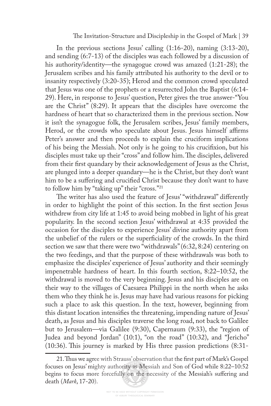In the previous sections Jesus' calling (1:16-20), naming (3:13-20), and sending (6:7-13) of the disciples was each followed by a discussion of his authority/identity—the synagogue crowd was amazed (1:21-28); the Jerusalem scribes and his family attributed his authority to the devil or to insanity respectively (3:20-35); Herod and the common crowd speculated that Jesus was one of the prophets or a resurrected John the Baptist (6:14- 29). Here, in response to Jesus' question, Peter gives the true answer-"You are the Christ" (8:29). It appears that the disciples have overcome the hardness of heart that so characterized them in the previous section. Now it isn't the synagogue folk, the Jerusalem scribes, Jesus' family members, Herod, or the crowds who speculate about Jesus. Jesus himself affirms Peter's answer and then proceeds to explain the cruciform implications of his being the Messiah. Not only is he going to his crucifxion, but his disciples must take up their "cross" and follow him. The disciples, delivered from their frst quandary by their acknowledgement of Jesus as the Christ, are plunged into a deeper quandary—he is the Christ, but they don't want him to be a sufering and crucifed Christ because they don't want to have to follow him by "taking up" their "cross."21

The writer has also used the feature of Jesus' "withdrawal" differently in order to highlight the point of this section. In the frst section Jesus withdrew from city life at 1:45 to avoid being mobbed in light of his great popularity. In the second section Jesus' withdrawal at 4:35 provided the occasion for the disciples to experience Jesus' divine authority apart from the unbelief of the rulers or the superfciality of the crowds. In the third section we saw that there were two "withdrawals" (6:32, 8:24) centering on the two feedings, and that the purpose of these withdrawals was both to emphasize the disciples' experience of Jesus' authority and their seemingly impenetrable hardness of heart. In this fourth section, 8:22–10:52, the withdrawal is moved to the very beginning. Jesus and his disciples are on their way to the villages of Caesarea Philippi in the north when he asks them who they think he is. Jesus may have had various reasons for picking such a place to ask this question. In the text, however, beginning from this distant location intensifes the threatening, impending nature of Jesus' death, as Jesus and his disciples traverse the long road, not back to Galilee but to Jerusalem—via Galilee (9:30), Capernaum (9:33), the "region of Judea and beyond Jordan" (10:1), "on the road" (10:32), and "Jericho"  $(10:36)$ . This journey is marked by His three passion predictions  $(8:31-$ 

<sup>21.</sup> Thus we agree with Strauss' observation that the first part of Mark's Gospel focuses on Jesus' mighty authority as Messiah and Son of God while 8:22–10:52 begins to focus more forcefully on the necessity of the Messiah's sufering and death (*Mark*, 17-20).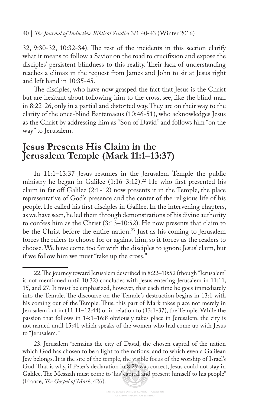32, 9:30-32, 10:32-34). The rest of the incidents in this section clarify what it means to follow a Savior on the road to crucifxion and expose the disciples' persistent blindness to this reality. Their lack of understanding reaches a climax in the request from James and John to sit at Jesus right and left hand in 10:35-45.

The disciples, who have now grasped the fact that Jesus is the Christ but are hesitant about following him to the cross, see, like the blind man in 8:22-26, only in a partial and distorted way. They are on their way to the clarity of the once-blind Bartemaeus (10:46-51), who acknowledges Jesus as the Christ by addressing him as "Son of David" and follows him "on the way" to Jerusalem.

# **Jesus Presents His Claim in the Jerusalem Temple (Mark 11:1–13:37)**

In 11:1–13:37 Jesus resumes in the Jerusalem Temple the public ministry he began in Galilee  $(1:16-3:12).^{22}$  He who first presented his claim in far off Galilee  $(2:1-12)$  now presents it in the Temple, the place representative of God's presence and the center of the religious life of his people. He called his frst disciples in Galilee. In the intervening chapters, as we have seen, he led them through demonstrations of his divine authority to confess him as the Christ (3:13–10:52). He now presents that claim to be the Christ before the entire nation.23 Just as his coming to Jerusalem forces the rulers to choose for or against him, so it forces us the readers to choose. We have come too far with the disciples to ignore Jesus' claim, but if we follow him we must "take up the cross."

23. Jerusalem "remains the city of David, the chosen capital of the nation which God has chosen to be a light to the nations, and to which even a Galilean Jew belongs. It is the site of the temple, the visible focus of the worship of Israel's God. That is why, if Peter's declaration in 8:29 was correct, Jesus could not stay in Galilee. The Messiah must come to 'his' capital and present himself to his people" (France, *Te Gospel of Mark*, 426).

<sup>22.</sup> The journey toward Jerusalem described in 8:22–10:52 (though "Jerusalem" is not mentioned until 10:32) concludes with Jesus entering Jerusalem in 11:11, 15, and 27. It must be emphasized, however, that each time he goes immediately into the Temple. The discourse on the Temple's destruction begins in 13:1 with his coming out of the Temple. Thus, this part of Mark takes place not merely in Jerusalem but in (11:11–12:44) or in relation to (13:1-37), the Temple. While the passion that follows in 14:1–16:8 obviously takes place in Jerusalem, the city is not named until 15:41 which speaks of the women who had come up with Jesus to "Jerusalem."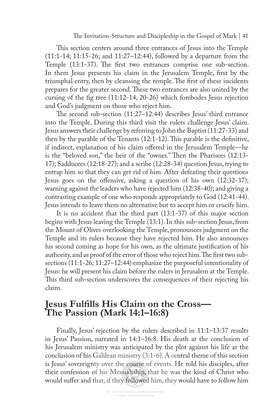This section centers around three entrances of Jesus into the Temple (11:1-14; 11:15-26; and 11:27–12:44), followed by a departure from the Temple (13:1-37). The first two entrances comprise one sub-section. In them Jesus presents his claim in the Jerusalem Temple, frst by the triumphal entry, then by cleansing the temple. The first of these incidents prepares for the greater second. These two entrances are also united by the cursing of the fg tree (11:12-14, 20-26) which forebodes Jesus rejection and God's judgment on those who reject him.

The second sub-section  $(11:27-12:44)$  describes Jesus' third entrance into the Temple. During this third visit the rulers challenge Jesus' claim. Jesus answers their challenge by referring to John the Baptist (11:27-33) and then by the parable of the Tenants (12:1-12). This parable is the definitive, if indirect, explanation of his claim ofered in the Jerusalem Temple—he is the "beloved son," the heir of the "owner." Then the Pharisees (12:13-17); Sadducees (12:18-27); and a scribe (12:28-34) question Jesus, trying to entrap him so that they can get rid of him. After defeating their questions Jesus goes on the offensive, asking a question of his own (12:32-37); warning against the leaders who have rejected him (12:38-40); and giving a contrasting example of one who responds appropriately to God (12:41-44). Jesus intends to leave them no alternative but to accept him or crucify him.

It is no accident that the third part (13:1-37) of this major section begins with Jesus leaving the Temple (13:1). In this sub-section Jesus, from the Mount of Olives overlooking the Temple, pronounces judgment on the Temple and its rulers because they have rejected him. He also announces his second coming as hope for his own, as the ultimate justifcation of his authority, and as proof of the error of those who reject him. The first two subsections (11:1-26; 11:27–12:44) emphasize the purposeful intentionality of Jesus: he will present his claim before the rulers in Jerusalem at the Temple. This third sub-section underscores the consequences of their rejecting his claim.

# **Jesus Fulflls His Claim on the Cross— The Passion (Mark 14:1–16:8)**

Finally, Jesus' rejection by the rulers described in 11:1–13:37 results in Jesus' Passion, narrated in 14:1–16:8. His death at the conclusion of his Jerusalem ministry was anticipated by the plot against his life at the conclusion of his Galilean ministry (3:1-6). A central theme of this section is Jesus' sovereignty over the course of events. He told his disciples, after their confession of his Messiahship, that he was the kind of Christ who would sufer and that, if they followed him, they would have to follow him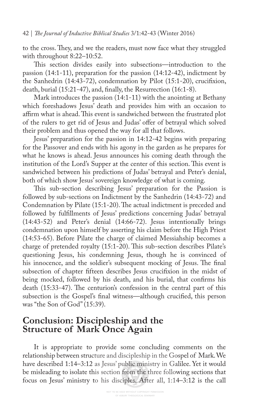to the cross. They, and we the readers, must now face what they struggled with throughout 8:22–10:52.

This section divides easily into subsections—introduction to the passion (14:1-11), preparation for the passion (14:12-42), indictment by the Sanhedrin (14:43-72), condemnation by Pilot (15:1-20), crucifxion, death, burial (15:21-47), and, fnally, the Resurrection (16:1-8).

Mark introduces the passion (14:1-11) with the anointing at Bethany which foreshadows Jesus' death and provides him with an occasion to affirm what is ahead. This event is sandwiched between the frustrated plot of the rulers to get rid of Jesus and Judas' ofer of betrayal which solved their problem and thus opened the way for all that follows.

Jesus' preparation for the passion in 14:12-42 begins with preparing for the Passover and ends with his agony in the garden as he prepares for what he knows is ahead. Jesus announces his coming death through the institution of the Lord's Supper at the center of this section. This event is sandwiched between his predictions of Judas' betrayal and Peter's denial, both of which show Jesus' sovereign knowledge of what is coming.

This sub-section describing Jesus' preparation for the Passion is followed by sub-sections on Indictment by the Sanhedrin (14:43-72) and Condemnation by Pilate (15:1-20). The actual indictment is preceded and followed by fulfllments of Jesus' predictions concerning Judas' betrayal (14:43-52) and Peter's denial (14:66-72). Jesus intentionally brings condemnation upon himself by asserting his claim before the High Priest (14:53-65). Before Pilate the charge of claimed Messiahship becomes a charge of pretended royalty (15:1-20). This sub-section describes Pilate's questioning Jesus, his condemning Jesus, though he is convinced of his innocence, and the soldier's subsequent mocking of Jesus. The final subsection of chapter ffteen describes Jesus crucifxion in the midst of being mocked, followed by his death, and his burial, that confrms his death (15:33-47). The centurion's confession in the central part of this subsection is the Gospel's fnal witness—although crucifed, this person was "the Son of God" (15:39).

## **Conclusion: Discipleship and the Structure of Mark Once Again**

It is appropriate to provide some concluding comments on the relationship between structure and discipleship in the Gospel of Mark. We have described 1:14–3:12 as Jesus' public ministry in Galilee. Yet it would be misleading to isolate this section from the three following sections that focus on Jesus' ministry to his disciples. After all, 1:14–3:12 is the call